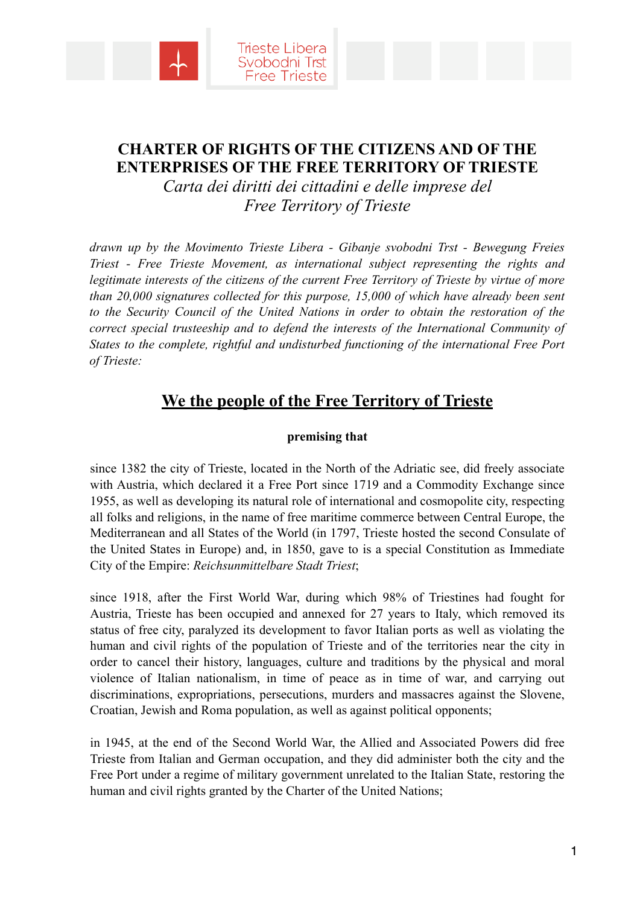



# **CHARTER OF RIGHTS OF THE CITIZENS AND OF THE ENTERPRISES OF THE FREE TERRITORY OF TRIESTE**

*Carta dei diritti dei cittadini e delle imprese del Free Territory of Trieste* 

*drawn up by the Movimento Trieste Libera - Gibanje svobodni Trst - Bewegung Freies Triest - Free Trieste Movement, as international subject representing the rights and*  legitimate interests of the citizens of the current Free Territory of Trieste by virtue of more *than 20,000 signatures collected for this purpose, 15,000 of which have already been sent*  to the Security Council of the United Nations in order to obtain the restoration of the *correct special trusteeship and to defend the interests of the International Community of States to the complete, rightful and undisturbed functioning of the international Free Port of Trieste:* 

# **We the people of the Free Territory of Trieste**

## **premising that**

since 1382 the city of Trieste, located in the North of the Adriatic see, did freely associate with Austria, which declared it a Free Port since 1719 and a Commodity Exchange since 1955, as well as developing its natural role of international and cosmopolite city, respecting all folks and religions, in the name of free maritime commerce between Central Europe, the Mediterranean and all States of the World (in 1797, Trieste hosted the second Consulate of the United States in Europe) and, in 1850, gave to is a special Constitution as Immediate City of the Empire: *Reichsunmittelbare Stadt Triest*;

since 1918, after the First World War, during which 98% of Triestines had fought for Austria, Trieste has been occupied and annexed for 27 years to Italy, which removed its status of free city, paralyzed its development to favor Italian ports as well as violating the human and civil rights of the population of Trieste and of the territories near the city in order to cancel their history, languages, culture and traditions by the physical and moral violence of Italian nationalism, in time of peace as in time of war, and carrying out discriminations, expropriations, persecutions, murders and massacres against the Slovene, Croatian, Jewish and Roma population, as well as against political opponents;

in 1945, at the end of the Second World War, the Allied and Associated Powers did free Trieste from Italian and German occupation, and they did administer both the city and the Free Port under a regime of military government unrelated to the Italian State, restoring the human and civil rights granted by the Charter of the United Nations;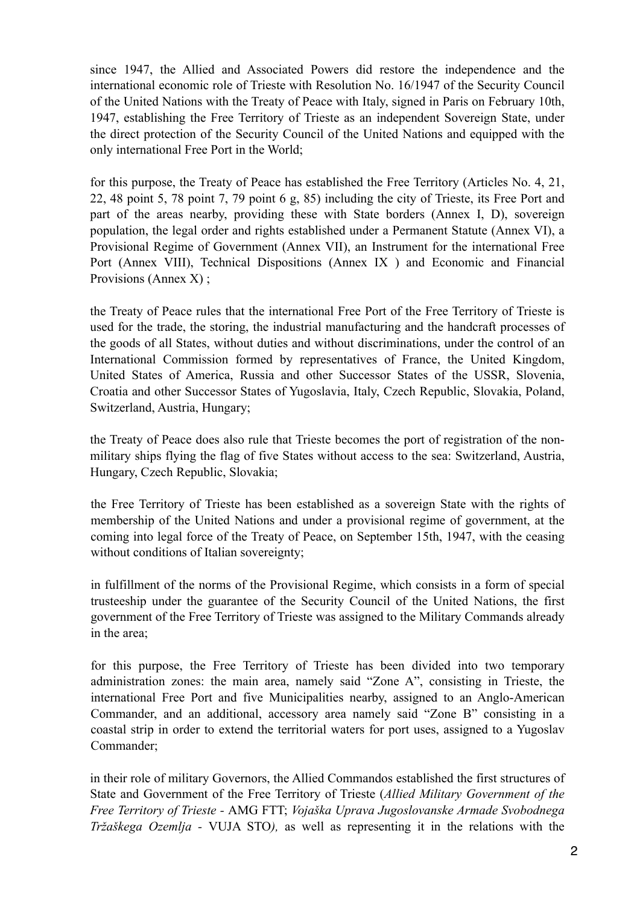since 1947, the Allied and Associated Powers did restore the independence and the international economic role of Trieste with Resolution No. 16/1947 of the Security Council of the United Nations with the Treaty of Peace with Italy, signed in Paris on February 10th, 1947, establishing the Free Territory of Trieste as an independent Sovereign State, under the direct protection of the Security Council of the United Nations and equipped with the only international Free Port in the World;

for this purpose, the Treaty of Peace has established the Free Territory (Articles No. 4, 21, 22, 48 point 5, 78 point 7, 79 point 6 g, 85) including the city of Trieste, its Free Port and part of the areas nearby, providing these with State borders (Annex I, D), sovereign population, the legal order and rights established under a Permanent Statute (Annex VI), a Provisional Regime of Government (Annex VII), an Instrument for the international Free Port (Annex VIII), Technical Dispositions (Annex IX ) and Economic and Financial Provisions (Annex X) ;

the Treaty of Peace rules that the international Free Port of the Free Territory of Trieste is used for the trade, the storing, the industrial manufacturing and the handcraft processes of the goods of all States, without duties and without discriminations, under the control of an International Commission formed by representatives of France, the United Kingdom, United States of America, Russia and other Successor States of the USSR, Slovenia, Croatia and other Successor States of Yugoslavia, Italy, Czech Republic, Slovakia, Poland, Switzerland, Austria, Hungary;

the Treaty of Peace does also rule that Trieste becomes the port of registration of the nonmilitary ships flying the flag of five States without access to the sea: Switzerland, Austria, Hungary, Czech Republic, Slovakia;

the Free Territory of Trieste has been established as a sovereign State with the rights of membership of the United Nations and under a provisional regime of government, at the coming into legal force of the Treaty of Peace, on September 15th, 1947, with the ceasing without conditions of Italian sovereignty;

in fulfillment of the norms of the Provisional Regime, which consists in a form of special trusteeship under the guarantee of the Security Council of the United Nations, the first government of the Free Territory of Trieste was assigned to the Military Commands already in the area;

for this purpose, the Free Territory of Trieste has been divided into two temporary administration zones: the main area, namely said "Zone A", consisting in Trieste, the international Free Port and five Municipalities nearby, assigned to an Anglo-American Commander, and an additional, accessory area namely said "Zone B" consisting in a coastal strip in order to extend the territorial waters for port uses, assigned to a Yugoslav Commander;

in their role of military Governors, the Allied Commandos established the first structures of State and Government of the Free Territory of Trieste (*Allied Military Government of the Free Territory of Trieste -* AMG FTT; *Vojaška Uprava Jugoslovanske Armade Svobodnega Tržaškega Ozemlja -* VUJA STO*),* as well as representing it in the relations with the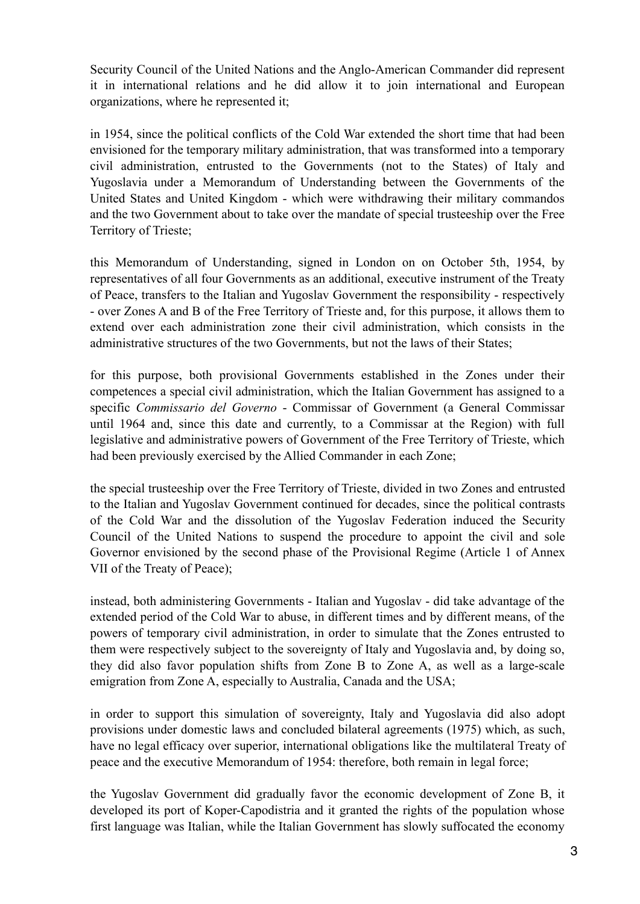Security Council of the United Nations and the Anglo-American Commander did represent it in international relations and he did allow it to join international and European organizations, where he represented it;

in 1954, since the political conflicts of the Cold War extended the short time that had been envisioned for the temporary military administration, that was transformed into a temporary civil administration, entrusted to the Governments (not to the States) of Italy and Yugoslavia under a Memorandum of Understanding between the Governments of the United States and United Kingdom - which were withdrawing their military commandos and the two Government about to take over the mandate of special trusteeship over the Free Territory of Trieste;

this Memorandum of Understanding, signed in London on on October 5th, 1954, by representatives of all four Governments as an additional, executive instrument of the Treaty of Peace, transfers to the Italian and Yugoslav Government the responsibility - respectively - over Zones A and B of the Free Territory of Trieste and, for this purpose, it allows them to extend over each administration zone their civil administration, which consists in the administrative structures of the two Governments, but not the laws of their States;

for this purpose, both provisional Governments established in the Zones under their competences a special civil administration, which the Italian Government has assigned to a specific *Commissario del Governo* - Commissar of Government (a General Commissar until 1964 and, since this date and currently, to a Commissar at the Region) with full legislative and administrative powers of Government of the Free Territory of Trieste, which had been previously exercised by the Allied Commander in each Zone;

the special trusteeship over the Free Territory of Trieste, divided in two Zones and entrusted to the Italian and Yugoslav Government continued for decades, since the political contrasts of the Cold War and the dissolution of the Yugoslav Federation induced the Security Council of the United Nations to suspend the procedure to appoint the civil and sole Governor envisioned by the second phase of the Provisional Regime (Article 1 of Annex VII of the Treaty of Peace);

instead, both administering Governments - Italian and Yugoslav - did take advantage of the extended period of the Cold War to abuse, in different times and by different means, of the powers of temporary civil administration, in order to simulate that the Zones entrusted to them were respectively subject to the sovereignty of Italy and Yugoslavia and, by doing so, they did also favor population shifts from Zone B to Zone A, as well as a large-scale emigration from Zone A, especially to Australia, Canada and the USA;

in order to support this simulation of sovereignty, Italy and Yugoslavia did also adopt provisions under domestic laws and concluded bilateral agreements (1975) which, as such, have no legal efficacy over superior, international obligations like the multilateral Treaty of peace and the executive Memorandum of 1954: therefore, both remain in legal force;

the Yugoslav Government did gradually favor the economic development of Zone B, it developed its port of Koper-Capodistria and it granted the rights of the population whose first language was Italian, while the Italian Government has slowly suffocated the economy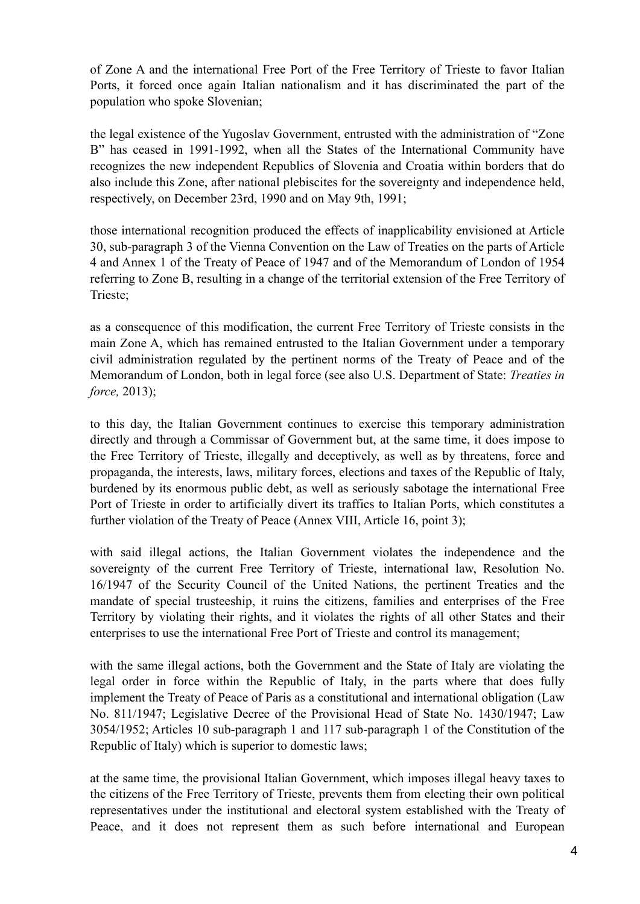of Zone A and the international Free Port of the Free Territory of Trieste to favor Italian Ports, it forced once again Italian nationalism and it has discriminated the part of the population who spoke Slovenian;

the legal existence of the Yugoslav Government, entrusted with the administration of "Zone B" has ceased in 1991-1992, when all the States of the International Community have recognizes the new independent Republics of Slovenia and Croatia within borders that do also include this Zone, after national plebiscites for the sovereignty and independence held, respectively, on December 23rd, 1990 and on May 9th, 1991;

those international recognition produced the effects of inapplicability envisioned at Article 30, sub-paragraph 3 of the Vienna Convention on the Law of Treaties on the parts of Article 4 and Annex 1 of the Treaty of Peace of 1947 and of the Memorandum of London of 1954 referring to Zone B, resulting in a change of the territorial extension of the Free Territory of Trieste;

as a consequence of this modification, the current Free Territory of Trieste consists in the main Zone A, which has remained entrusted to the Italian Government under a temporary civil administration regulated by the pertinent norms of the Treaty of Peace and of the Memorandum of London, both in legal force (see also U.S. Department of State: *Treaties in force,* 2013);

to this day, the Italian Government continues to exercise this temporary administration directly and through a Commissar of Government but, at the same time, it does impose to the Free Territory of Trieste, illegally and deceptively, as well as by threatens, force and propaganda, the interests, laws, military forces, elections and taxes of the Republic of Italy, burdened by its enormous public debt, as well as seriously sabotage the international Free Port of Trieste in order to artificially divert its traffics to Italian Ports, which constitutes a further violation of the Treaty of Peace (Annex VIII, Article 16, point 3);

with said illegal actions, the Italian Government violates the independence and the sovereignty of the current Free Territory of Trieste, international law, Resolution No. 16/1947 of the Security Council of the United Nations, the pertinent Treaties and the mandate of special trusteeship, it ruins the citizens, families and enterprises of the Free Territory by violating their rights, and it violates the rights of all other States and their enterprises to use the international Free Port of Trieste and control its management;

with the same illegal actions, both the Government and the State of Italy are violating the legal order in force within the Republic of Italy, in the parts where that does fully implement the Treaty of Peace of Paris as a constitutional and international obligation (Law No. 811/1947; Legislative Decree of the Provisional Head of State No. 1430/1947; Law 3054/1952; Articles 10 sub-paragraph 1 and 117 sub-paragraph 1 of the Constitution of the Republic of Italy) which is superior to domestic laws;

at the same time, the provisional Italian Government, which imposes illegal heavy taxes to the citizens of the Free Territory of Trieste, prevents them from electing their own political representatives under the institutional and electoral system established with the Treaty of Peace, and it does not represent them as such before international and European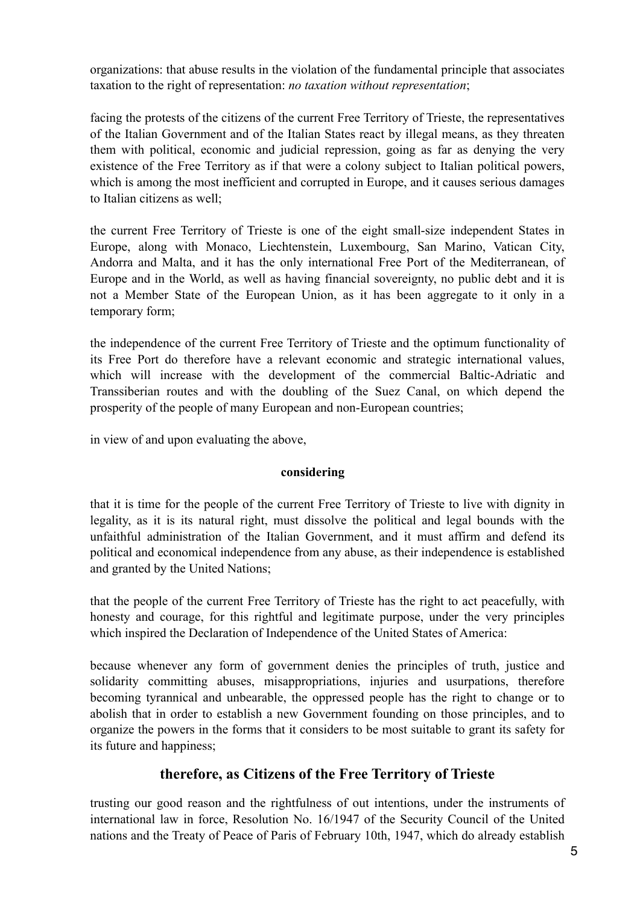organizations: that abuse results in the violation of the fundamental principle that associates taxation to the right of representation: *no taxation without representation*;

facing the protests of the citizens of the current Free Territory of Trieste, the representatives of the Italian Government and of the Italian States react by illegal means, as they threaten them with political, economic and judicial repression, going as far as denying the very existence of the Free Territory as if that were a colony subject to Italian political powers, which is among the most inefficient and corrupted in Europe, and it causes serious damages to Italian citizens as well;

the current Free Territory of Trieste is one of the eight small-size independent States in Europe, along with Monaco, Liechtenstein, Luxembourg, San Marino, Vatican City, Andorra and Malta, and it has the only international Free Port of the Mediterranean, of Europe and in the World, as well as having financial sovereignty, no public debt and it is not a Member State of the European Union, as it has been aggregate to it only in a temporary form;

the independence of the current Free Territory of Trieste and the optimum functionality of its Free Port do therefore have a relevant economic and strategic international values, which will increase with the development of the commercial Baltic-Adriatic and Transsiberian routes and with the doubling of the Suez Canal, on which depend the prosperity of the people of many European and non-European countries;

in view of and upon evaluating the above,

#### **considering**

that it is time for the people of the current Free Territory of Trieste to live with dignity in legality, as it is its natural right, must dissolve the political and legal bounds with the unfaithful administration of the Italian Government, and it must affirm and defend its political and economical independence from any abuse, as their independence is established and granted by the United Nations;

that the people of the current Free Territory of Trieste has the right to act peacefully, with honesty and courage, for this rightful and legitimate purpose, under the very principles which inspired the Declaration of Independence of the United States of America:

because whenever any form of government denies the principles of truth, justice and solidarity committing abuses, misappropriations, injuries and usurpations, therefore becoming tyrannical and unbearable, the oppressed people has the right to change or to abolish that in order to establish a new Government founding on those principles, and to organize the powers in the forms that it considers to be most suitable to grant its safety for its future and happiness;

## **therefore, as Citizens of the Free Territory of Trieste**

trusting our good reason and the rightfulness of out intentions, under the instruments of international law in force, Resolution No. 16/1947 of the Security Council of the United nations and the Treaty of Peace of Paris of February 10th, 1947, which do already establish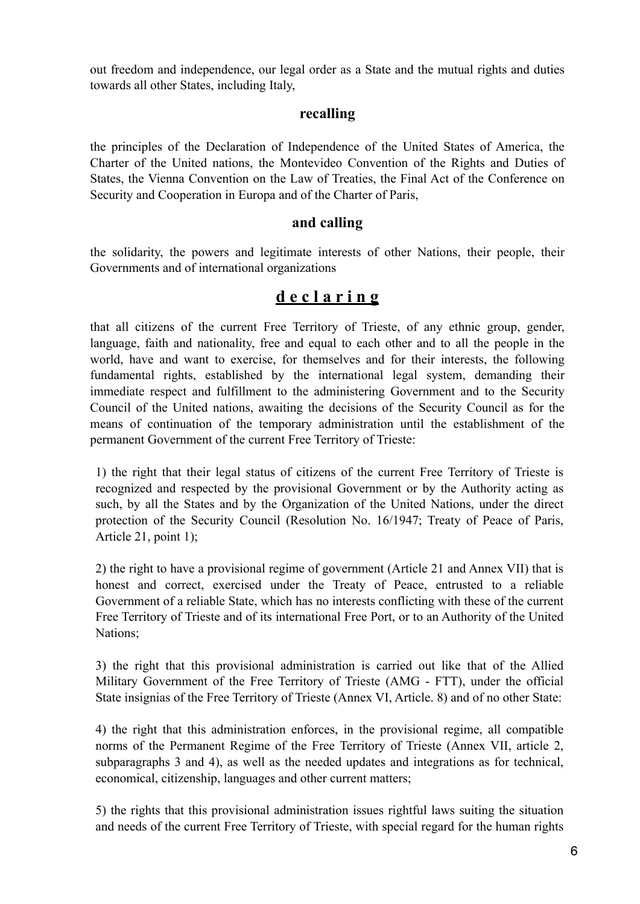out freedom and independence, our legal order as a State and the mutual rights and duties towards all other States, including Italy,

## **recalling**

the principles of the Declaration of Independence of the United States of America, the Charter of the United nations, the Montevideo Convention of the Rights and Duties of States, the Vienna Convention on the Law of Treaties, the Final Act of the Conference on Security and Cooperation in Europa and of the Charter of Paris,

## **and calling**

the solidarity, the powers and legitimate interests of other Nations, their people, their Governments and of international organizations

## **d e c l a r i n g**

that all citizens of the current Free Territory of Trieste, of any ethnic group, gender, language, faith and nationality, free and equal to each other and to all the people in the world, have and want to exercise, for themselves and for their interests, the following fundamental rights, established by the international legal system, demanding their immediate respect and fulfillment to the administering Government and to the Security Council of the United nations, awaiting the decisions of the Security Council as for the means of continuation of the temporary administration until the establishment of the permanent Government of the current Free Territory of Trieste:

1) the right that their legal status of citizens of the current Free Territory of Trieste is recognized and respected by the provisional Government or by the Authority acting as such, by all the States and by the Organization of the United Nations, under the direct protection of the Security Council (Resolution No. 16/1947; Treaty of Peace of Paris, Article 21, point 1);

2) the right to have a provisional regime of government (Article 21 and Annex VII) that is honest and correct, exercised under the Treaty of Peace, entrusted to a reliable Government of a reliable State, which has no interests conflicting with these of the current Free Territory of Trieste and of its international Free Port, or to an Authority of the United Nations;

3) the right that this provisional administration is carried out like that of the Allied Military Government of the Free Territory of Trieste (AMG - FTT), under the official State insignias of the Free Territory of Trieste (Annex VI, Article. 8) and of no other State:

4) the right that this administration enforces, in the provisional regime, all compatible norms of the Permanent Regime of the Free Territory of Trieste (Annex VII, article 2, subparagraphs 3 and 4), as well as the needed updates and integrations as for technical, economical, citizenship, languages and other current matters;

5) the rights that this provisional administration issues rightful laws suiting the situation and needs of the current Free Territory of Trieste, with special regard for the human rights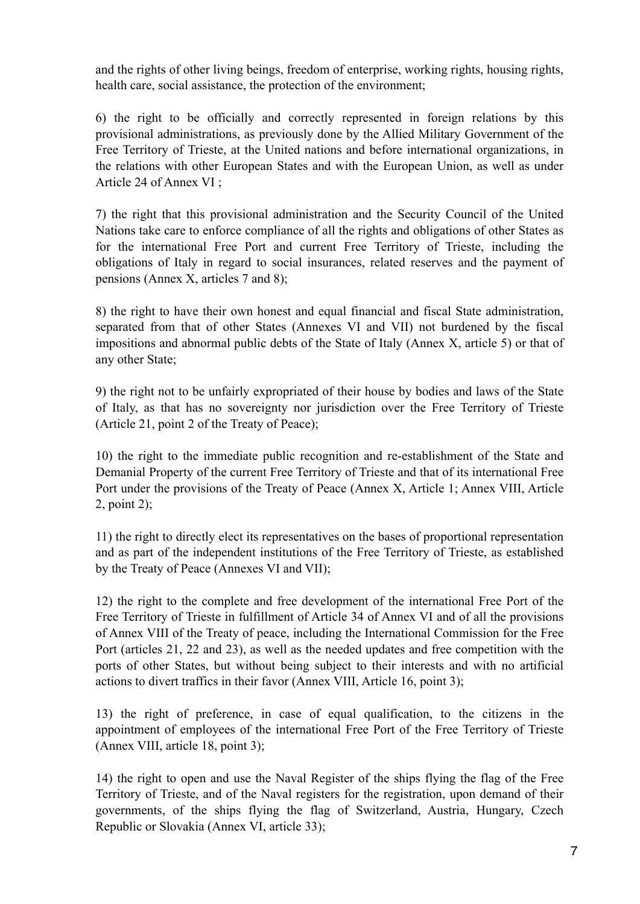and the rights of other living beings, freedom of enterprise, working rights, housing rights, health care, social assistance, the protection of the environment;

6) the right to be officially and correctly represented in foreign relations by this provisional administrations, as previously done by the Allied Military Government of the Free Territory of Trieste, at the United nations and before international organizations, in the relations with other European States and with the European Union, as well as under Article 24 of Annex VI ;

7) the right that this provisional administration and the Security Council of the United Nations take care to enforce compliance of all the rights and obligations of other States as for the international Free Port and current Free Territory of Trieste, including the obligations of Italy in regard to social insurances, related reserves and the payment of pensions (Annex X, articles 7 and 8);

8) the right to have their own honest and equal financial and fiscal State administration, separated from that of other States (Annexes VI and VII) not burdened by the fiscal impositions and abnormal public debts of the State of Italy (Annex X, article 5) or that of any other State;

9) the right not to be unfairly expropriated of their house by bodies and laws of the State of Italy, as that has no sovereignty nor jurisdiction over the Free Territory of Trieste (Article 21, point 2 of the Treaty of Peace);

10) the right to the immediate public recognition and re-establishment of the State and Demanial Property of the current Free Territory of Trieste and that of its international Free Port under the provisions of the Treaty of Peace (Annex X, Article 1; Annex VIII, Article 2, point 2);

11) the right to directly elect its representatives on the bases of proportional representation and as part of the independent institutions of the Free Territory of Trieste, as established by the Treaty of Peace (Annexes VI and VII);

12) the right to the complete and free development of the international Free Port of the Free Territory of Trieste in fulfillment of Article 34 of Annex VI and of all the provisions of Annex VIII of the Treaty of peace, including the International Commission for the Free Port (articles 21, 22 and 23), as well as the needed updates and free competition with the ports of other States, but without being subject to their interests and with no artificial actions to divert traffics in their favor (Annex VIII, Article 16, point 3);

13) the right of preference, in case of equal qualification, to the citizens in the appointment of employees of the international Free Port of the Free Territory of Trieste (Annex VIII, article 18, point 3);

14) the right to open and use the Naval Register of the ships flying the flag of the Free Territory of Trieste, and of the Naval registers for the registration, upon demand of their governments, of the ships flying the flag of Switzerland, Austria, Hungary, Czech Republic or Slovakia (Annex VI, article 33);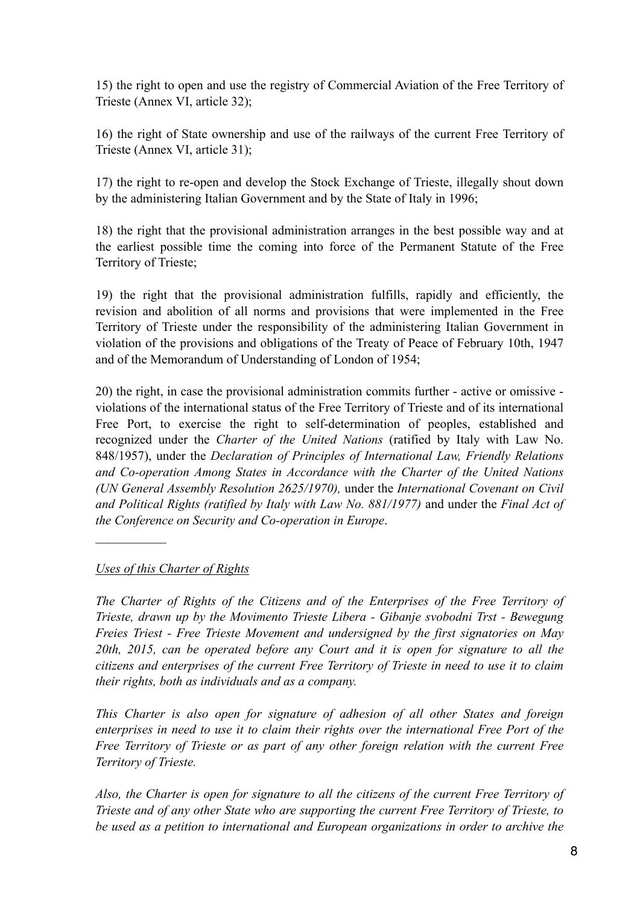15) the right to open and use the registry of Commercial Aviation of the Free Territory of Trieste (Annex VI, article 32);

16) the right of State ownership and use of the railways of the current Free Territory of Trieste (Annex VI, article 31);

17) the right to re-open and develop the Stock Exchange of Trieste, illegally shout down by the administering Italian Government and by the State of Italy in 1996;

18) the right that the provisional administration arranges in the best possible way and at the earliest possible time the coming into force of the Permanent Statute of the Free Territory of Trieste;

19) the right that the provisional administration fulfills, rapidly and efficiently, the revision and abolition of all norms and provisions that were implemented in the Free Territory of Trieste under the responsibility of the administering Italian Government in violation of the provisions and obligations of the Treaty of Peace of February 10th, 1947 and of the Memorandum of Understanding of London of 1954;

20) the right, in case the provisional administration commits further - active or omissive violations of the international status of the Free Territory of Trieste and of its international Free Port, to exercise the right to self-determination of peoples, established and recognized under the *Charter of the United Nations* (ratified by Italy with Law No. 848/1957), under the *Declaration of Principles of International Law, Friendly Relations and Co-operation Among States in Accordance with the Charter of the United Nations (UN General Assembly Resolution 2625/1970),* under the *International Covenant on Civil and Political Rights (ratified by Italy with Law No. 881/1977)* and under the *Final Act of the Conference on Security and Co-operation in Europe*.

## *Uses of this Charter of Rights*

 $\frac{1}{2}$ 

*The Charter of Rights of the Citizens and of the Enterprises of the Free Territory of Trieste, drawn up by the Movimento Trieste Libera - Gibanje svobodni Trst - Bewegung Freies Triest - Free Trieste Movement and undersigned by the first signatories on May 20th, 2015, can be operated before any Court and it is open for signature to all the citizens and enterprises of the current Free Territory of Trieste in need to use it to claim their rights, both as individuals and as a company.* 

*This Charter is also open for signature of adhesion of all other States and foreign enterprises in need to use it to claim their rights over the international Free Port of the Free Territory of Trieste or as part of any other foreign relation with the current Free Territory of Trieste.* 

*Also, the Charter is open for signature to all the citizens of the current Free Territory of Trieste and of any other State who are supporting the current Free Territory of Trieste, to be used as a petition to international and European organizations in order to archive the*